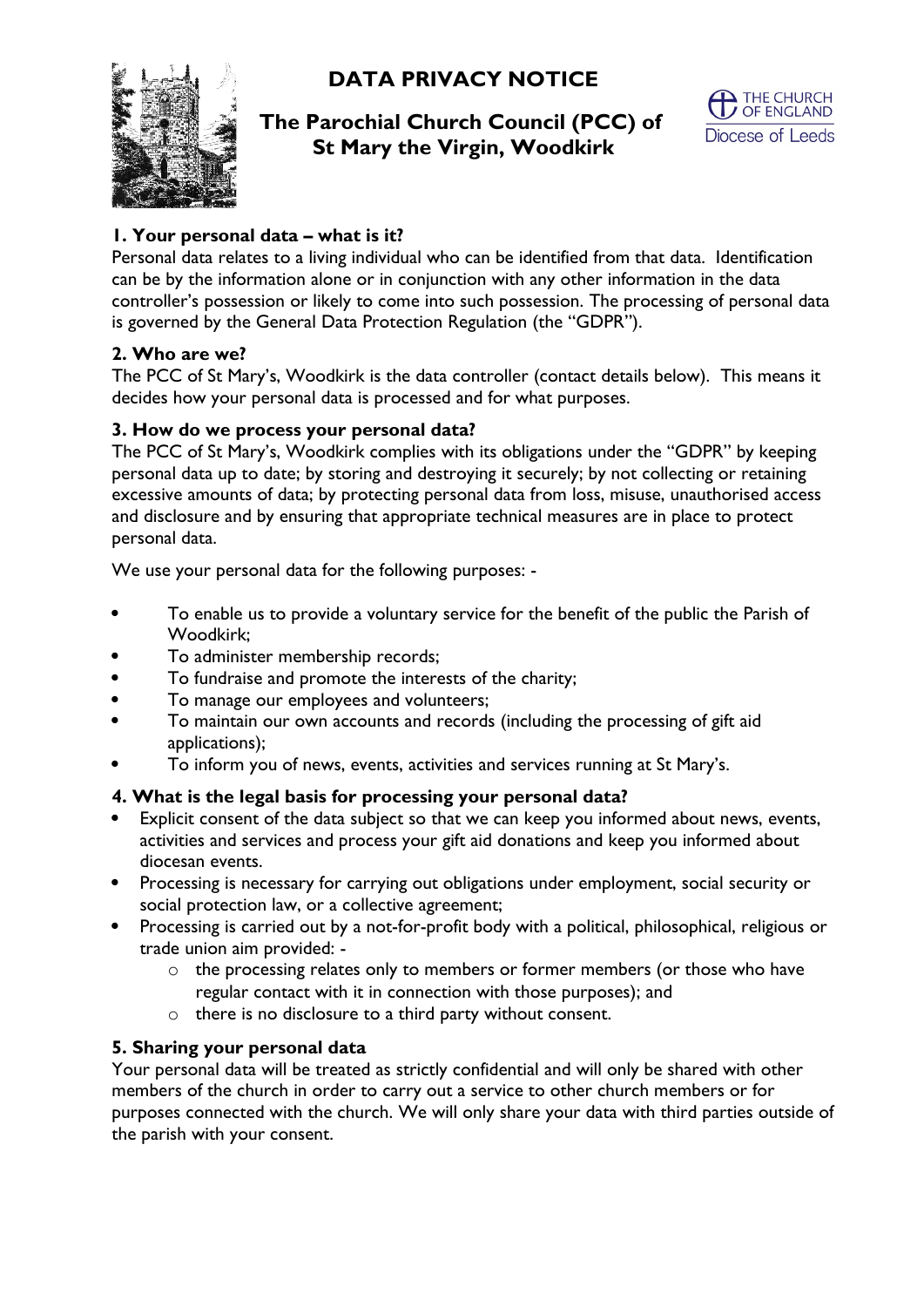**DATA PRIVACY NOTICE**



# **The Parochial Church Council (PCC) of St Mary the Virgin, Woodkirk**



# **1. Your personal data – what is it?**

Personal data relates to a living individual who can be identified from that data. Identification can be by the information alone or in conjunction with any other information in the data controller's possession or likely to come into such possession. The processing of personal data is governed by the General Data Protection Regulation (the "GDPR").

## **2. Who are we?**

The PCC of St Mary's, Woodkirk is the data controller (contact details below). This means it decides how your personal data is processed and for what purposes.

### **3. How do we process your personal data?**

The PCC of St Mary's, Woodkirk complies with its obligations under the "GDPR" by keeping personal data up to date; by storing and destroying it securely; by not collecting or retaining excessive amounts of data; by protecting personal data from loss, misuse, unauthorised access and disclosure and by ensuring that appropriate technical measures are in place to protect personal data.

We use your personal data for the following purposes: -

- To enable us to provide a voluntary service for the benefit of the public the Parish of Woodkirk;
- To administer membership records;
- To fundraise and promote the interests of the charity;
- To manage our employees and volunteers;
- To maintain our own accounts and records (including the processing of gift aid applications);
- To inform you of news, events, activities and services running at St Mary's.

## **4. What is the legal basis for processing your personal data?**

- Explicit consent of the data subject so that we can keep you informed about news, events, activities and services and process your gift aid donations and keep you informed about diocesan events.
- Processing is necessary for carrying out obligations under employment, social security or social protection law, or a collective agreement;
- Processing is carried out by a not-for-profit body with a political, philosophical, religious or trade union aim provided:
	- o the processing relates only to members or former members (or those who have regular contact with it in connection with those purposes); and
	- o there is no disclosure to a third party without consent.

## **5. Sharing your personal data**

Your personal data will be treated as strictly confidential and will only be shared with other members of the church in order to carry out a service to other church members or for purposes connected with the church. We will only share your data with third parties outside of the parish with your consent.